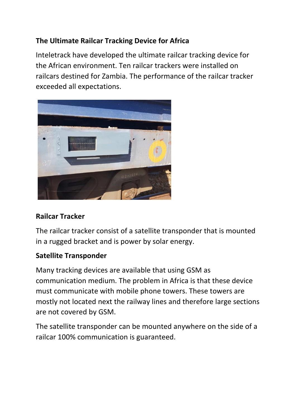## **The Ultimate Railcar Tracking Device for Africa**

Inteletrack have developed the ultimate railcar tracking device for the African environment. Ten railcar trackers were installed on railcars destined for Zambia. The performance of the railcar tracker exceeded all expectations.



#### **Railcar Tracker**

The railcar tracker consist of a satellite transponder that is mounted in a rugged bracket and is power by solar energy.

#### **Satellite Transponder**

Many tracking devices are available that using GSM as communication medium. The problem in Africa is that these device must communicate with mobile phone towers. These towers are mostly not located next the railway lines and therefore large sections are not covered by GSM.

The satellite transponder can be mounted anywhere on the side of a railcar 100% communication is guaranteed.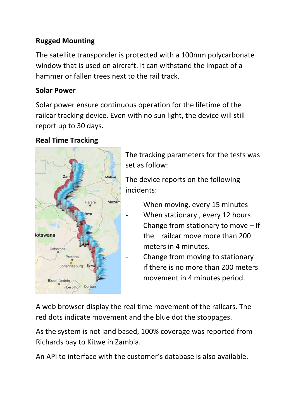### **Rugged Mounting**

The satellite transponder is protected with a 100mm polycarbonate window that is used on aircraft. It can withstand the impact of a hammer or fallen trees next to the rail track.

#### **Solar Power**

Solar power ensure continuous operation for the lifetime of the railcar tracking device. Even with no sun light, the device will still report up to 30 days.

#### **Real Time Tracking**



The tracking parameters for the tests was set as follow:

The device reports on the following incidents:

- When moving, every 15 minutes
- When stationary, every 12 hours
	- Change from stationary to move  $-$  If the railcar move more than 200 meters in 4 minutes.
- Change from moving to stationary  $$  if there is no more than 200 meters movement in 4 minutes period.

A web browser display the real time movement of the railcars. The red dots indicate movement and the blue dot the stoppages.

As the system is not land based, 100% coverage was reported from Richards bay to Kitwe in Zambia.

An API to interface with the customer's database is also available.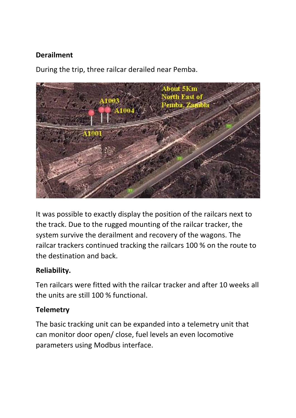### **Derailment**

During the trip, three railcar derailed near Pemba.



It was possible to exactly display the position of the railcars next to the track. Due to the rugged mounting of the railcar tracker, the system survive the derailment and recovery of the wagons. The railcar trackers continued tracking the railcars 100 % on the route to the destination and back.

#### **Reliability.**

Ten railcars were fitted with the railcar tracker and after 10 weeks all the units are still 100 % functional.

#### **Telemetry**

The basic tracking unit can be expanded into a telemetry unit that can monitor door open/ close, fuel levels an even locomotive parameters using Modbus interface.